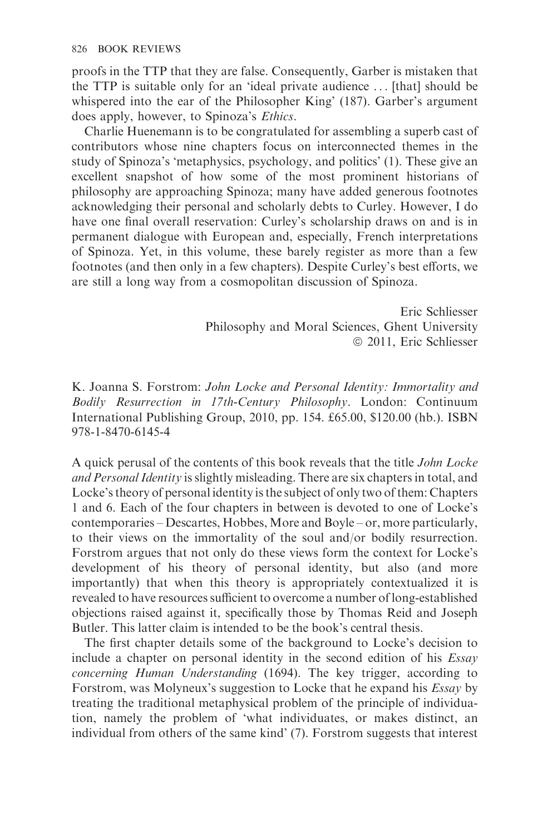proofs in the TTP that they are false. Consequently, Garber is mistaken that the TTP is suitable only for an 'ideal private audience . . . [that] should be whispered into the ear of the Philosopher King' (187). Garber's argument does apply, however, to Spinoza's Ethics.

Charlie Huenemann is to be congratulated for assembling a superb cast of contributors whose nine chapters focus on interconnected themes in the study of Spinoza's 'metaphysics, psychology, and politics' (1). These give an excellent snapshot of how some of the most prominent historians of philosophy are approaching Spinoza; many have added generous footnotes acknowledging their personal and scholarly debts to Curley. However, I do have one final overall reservation: Curley's scholarship draws on and is in permanent dialogue with European and, especially, French interpretations of Spinoza. Yet, in this volume, these barely register as more than a few footnotes (and then only in a few chapters). Despite Curley's best efforts, we are still a long way from a cosmopolitan discussion of Spinoza.

> Eric Schliesser Philosophy and Moral Sciences, Ghent University  $© 2011$ , Eric Schliesser

K. Joanna S. Forstrom: John Locke and Personal Identity: Immortality and Bodily Resurrection in 17th-Century Philosophy. London: Continuum International Publishing Group, 2010, pp. 154. £65.00, \$120.00 (hb.). ISBN 978-1-8470-6145-4

A quick perusal of the contents of this book reveals that the title John Locke and Personal Identity is slightly misleading. There are six chapters in total, and Locke's theory of personal identity is the subject of only two of them: Chapters 1 and 6. Each of the four chapters in between is devoted to one of Locke's contemporaries – Descartes, Hobbes, More and Boyle – or, more particularly, to their views on the immortality of the soul and/or bodily resurrection. Forstrom argues that not only do these views form the context for Locke's development of his theory of personal identity, but also (and more importantly) that when this theory is appropriately contextualized it is revealed to have resources sufficient to overcome a number of long-established objections raised against it, specifically those by Thomas Reid and Joseph Butler. This latter claim is intended to be the book's central thesis.

The first chapter details some of the background to Locke's decision to include a chapter on personal identity in the second edition of his Essay concerning Human Understanding (1694). The key trigger, according to Forstrom, was Molyneux's suggestion to Locke that he expand his *Essay* by treating the traditional metaphysical problem of the principle of individuation, namely the problem of 'what individuates, or makes distinct, an individual from others of the same kind' (7). Forstrom suggests that interest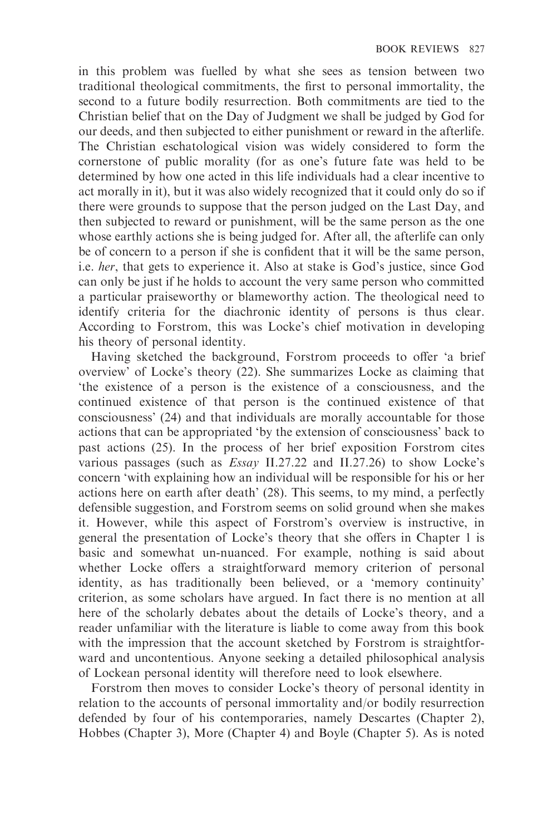in this problem was fuelled by what she sees as tension between two traditional theological commitments, the first to personal immortality, the second to a future bodily resurrection. Both commitments are tied to the Christian belief that on the Day of Judgment we shall be judged by God for our deeds, and then subjected to either punishment or reward in the afterlife. The Christian eschatological vision was widely considered to form the cornerstone of public morality (for as one's future fate was held to be determined by how one acted in this life individuals had a clear incentive to act morally in it), but it was also widely recognized that it could only do so if there were grounds to suppose that the person judged on the Last Day, and then subjected to reward or punishment, will be the same person as the one whose earthly actions she is being judged for. After all, the afterlife can only be of concern to a person if she is confident that it will be the same person, i.e. her, that gets to experience it. Also at stake is God's justice, since God can only be just if he holds to account the very same person who committed a particular praiseworthy or blameworthy action. The theological need to identify criteria for the diachronic identity of persons is thus clear. According to Forstrom, this was Locke's chief motivation in developing his theory of personal identity.

Having sketched the background, Forstrom proceeds to offer 'a brief overview' of Locke's theory (22). She summarizes Locke as claiming that 'the existence of a person is the existence of a consciousness, and the continued existence of that person is the continued existence of that consciousness' (24) and that individuals are morally accountable for those actions that can be appropriated 'by the extension of consciousness' back to past actions (25). In the process of her brief exposition Forstrom cites various passages (such as Essay II.27.22 and II.27.26) to show Locke's concern 'with explaining how an individual will be responsible for his or her actions here on earth after death' (28). This seems, to my mind, a perfectly defensible suggestion, and Forstrom seems on solid ground when she makes it. However, while this aspect of Forstrom's overview is instructive, in general the presentation of Locke's theory that she offers in Chapter 1 is basic and somewhat un-nuanced. For example, nothing is said about whether Locke offers a straightforward memory criterion of personal identity, as has traditionally been believed, or a 'memory continuity' criterion, as some scholars have argued. In fact there is no mention at all here of the scholarly debates about the details of Locke's theory, and a reader unfamiliar with the literature is liable to come away from this book with the impression that the account sketched by Forstrom is straightforward and uncontentious. Anyone seeking a detailed philosophical analysis of Lockean personal identity will therefore need to look elsewhere.

Forstrom then moves to consider Locke's theory of personal identity in relation to the accounts of personal immortality and/or bodily resurrection defended by four of his contemporaries, namely Descartes (Chapter 2), Hobbes (Chapter 3), More (Chapter 4) and Boyle (Chapter 5). As is noted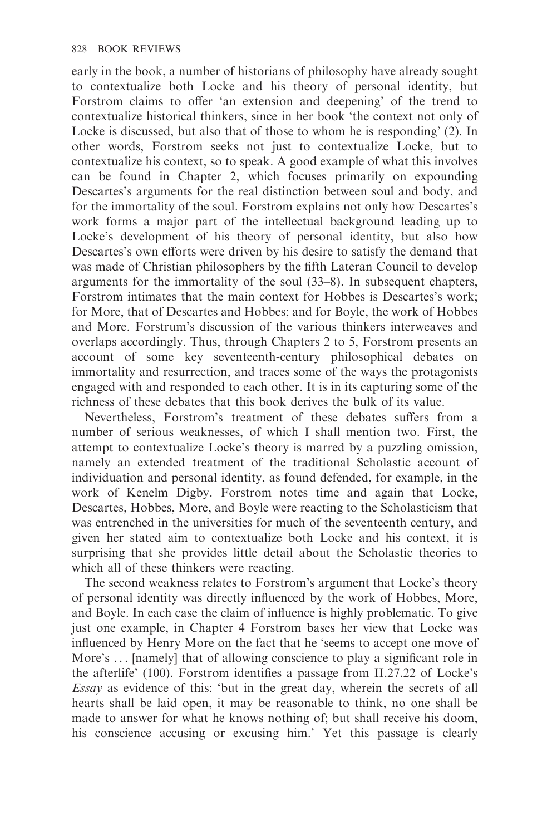early in the book, a number of historians of philosophy have already sought to contextualize both Locke and his theory of personal identity, but Forstrom claims to offer 'an extension and deepening' of the trend to contextualize historical thinkers, since in her book 'the context not only of Locke is discussed, but also that of those to whom he is responding' (2). In other words, Forstrom seeks not just to contextualize Locke, but to contextualize his context, so to speak. A good example of what this involves can be found in Chapter 2, which focuses primarily on expounding Descartes's arguments for the real distinction between soul and body, and for the immortality of the soul. Forstrom explains not only how Descartes's work forms a major part of the intellectual background leading up to Locke's development of his theory of personal identity, but also how Descartes's own efforts were driven by his desire to satisfy the demand that was made of Christian philosophers by the fifth Lateran Council to develop arguments for the immortality of the soul (33–8). In subsequent chapters, Forstrom intimates that the main context for Hobbes is Descartes's work; for More, that of Descartes and Hobbes; and for Boyle, the work of Hobbes and More. Forstrum's discussion of the various thinkers interweaves and overlaps accordingly. Thus, through Chapters 2 to 5, Forstrom presents an account of some key seventeenth-century philosophical debates on immortality and resurrection, and traces some of the ways the protagonists engaged with and responded to each other. It is in its capturing some of the richness of these debates that this book derives the bulk of its value.

Nevertheless, Forstrom's treatment of these debates suffers from a number of serious weaknesses, of which I shall mention two. First, the attempt to contextualize Locke's theory is marred by a puzzling omission, namely an extended treatment of the traditional Scholastic account of individuation and personal identity, as found defended, for example, in the work of Kenelm Digby. Forstrom notes time and again that Locke, Descartes, Hobbes, More, and Boyle were reacting to the Scholasticism that was entrenched in the universities for much of the seventeenth century, and given her stated aim to contextualize both Locke and his context, it is surprising that she provides little detail about the Scholastic theories to which all of these thinkers were reacting.

The second weakness relates to Forstrom's argument that Locke's theory of personal identity was directly influenced by the work of Hobbes, More, and Boyle. In each case the claim of influence is highly problematic. To give just one example, in Chapter 4 Forstrom bases her view that Locke was influenced by Henry More on the fact that he 'seems to accept one move of More's ... [namely] that of allowing conscience to play a significant role in the afterlife' (100). Forstrom identifies a passage from II.27.22 of Locke's Essay as evidence of this: 'but in the great day, wherein the secrets of all hearts shall be laid open, it may be reasonable to think, no one shall be made to answer for what he knows nothing of; but shall receive his doom, his conscience accusing or excusing him.' Yet this passage is clearly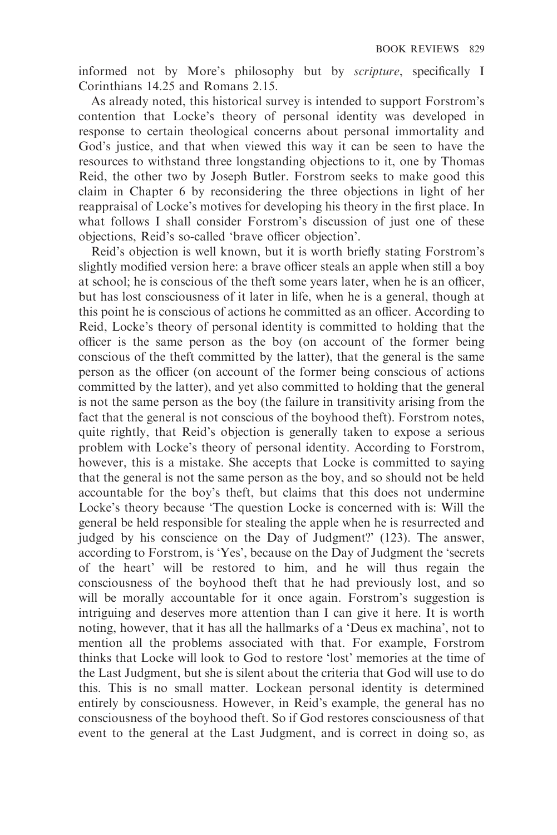informed not by More's philosophy but by scripture, specifically I Corinthians 14.25 and Romans 2.15.

As already noted, this historical survey is intended to support Forstrom's contention that Locke's theory of personal identity was developed in response to certain theological concerns about personal immortality and God's justice, and that when viewed this way it can be seen to have the resources to withstand three longstanding objections to it, one by Thomas Reid, the other two by Joseph Butler. Forstrom seeks to make good this claim in Chapter 6 by reconsidering the three objections in light of her reappraisal of Locke's motives for developing his theory in the first place. In what follows I shall consider Forstrom's discussion of just one of these objections, Reid's so-called 'brave officer objection'.

Reid's objection is well known, but it is worth briefly stating Forstrom's slightly modified version here: a brave officer steals an apple when still a boy at school; he is conscious of the theft some years later, when he is an officer, but has lost consciousness of it later in life, when he is a general, though at this point he is conscious of actions he committed as an officer. According to Reid, Locke's theory of personal identity is committed to holding that the officer is the same person as the boy (on account of the former being conscious of the theft committed by the latter), that the general is the same person as the officer (on account of the former being conscious of actions committed by the latter), and yet also committed to holding that the general is not the same person as the boy (the failure in transitivity arising from the fact that the general is not conscious of the boyhood theft). Forstrom notes, quite rightly, that Reid's objection is generally taken to expose a serious problem with Locke's theory of personal identity. According to Forstrom, however, this is a mistake. She accepts that Locke is committed to saying that the general is not the same person as the boy, and so should not be held accountable for the boy's theft, but claims that this does not undermine Locke's theory because 'The question Locke is concerned with is: Will the general be held responsible for stealing the apple when he is resurrected and judged by his conscience on the Day of Judgment?' (123). The answer, according to Forstrom, is 'Yes', because on the Day of Judgment the 'secrets of the heart' will be restored to him, and he will thus regain the consciousness of the boyhood theft that he had previously lost, and so will be morally accountable for it once again. Forstrom's suggestion is intriguing and deserves more attention than I can give it here. It is worth noting, however, that it has all the hallmarks of a 'Deus ex machina', not to mention all the problems associated with that. For example, Forstrom thinks that Locke will look to God to restore 'lost' memories at the time of the Last Judgment, but she is silent about the criteria that God will use to do this. This is no small matter. Lockean personal identity is determined entirely by consciousness. However, in Reid's example, the general has no consciousness of the boyhood theft. So if God restores consciousness of that event to the general at the Last Judgment, and is correct in doing so, as